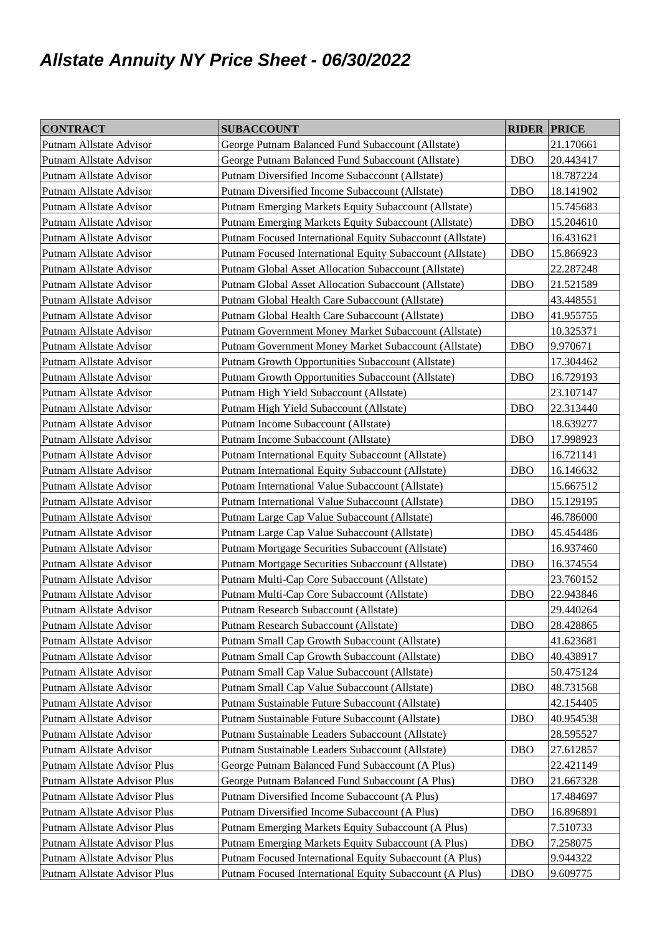## **Allstate Annuity NY Price Sheet - 06/30/2022**

| <b>CONTRACT</b>              | <b>SUBACCOUNT</b>                                         | <b>RIDER PRICE</b> |           |
|------------------------------|-----------------------------------------------------------|--------------------|-----------|
| Putnam Allstate Advisor      | George Putnam Balanced Fund Subaccount (Allstate)         |                    | 21.170661 |
| Putnam Allstate Advisor      | George Putnam Balanced Fund Subaccount (Allstate)         | <b>DBO</b>         | 20.443417 |
| Putnam Allstate Advisor      | Putnam Diversified Income Subaccount (Allstate)           |                    | 18.787224 |
| Putnam Allstate Advisor      | Putnam Diversified Income Subaccount (Allstate)           | <b>DBO</b>         | 18.141902 |
| Putnam Allstate Advisor      | Putnam Emerging Markets Equity Subaccount (Allstate)      |                    | 15.745683 |
| Putnam Allstate Advisor      | Putnam Emerging Markets Equity Subaccount (Allstate)      | <b>DBO</b>         | 15.204610 |
| Putnam Allstate Advisor      | Putnam Focused International Equity Subaccount (Allstate) |                    | 16.431621 |
| Putnam Allstate Advisor      | Putnam Focused International Equity Subaccount (Allstate) | <b>DBO</b>         | 15.866923 |
| Putnam Allstate Advisor      | Putnam Global Asset Allocation Subaccount (Allstate)      |                    | 22.287248 |
| Putnam Allstate Advisor      | Putnam Global Asset Allocation Subaccount (Allstate)      | <b>DBO</b>         | 21.521589 |
| Putnam Allstate Advisor      | Putnam Global Health Care Subaccount (Allstate)           |                    | 43.448551 |
| Putnam Allstate Advisor      | Putnam Global Health Care Subaccount (Allstate)           | <b>DBO</b>         | 41.955755 |
| Putnam Allstate Advisor      | Putnam Government Money Market Subaccount (Allstate)      |                    | 10.325371 |
| Putnam Allstate Advisor      | Putnam Government Money Market Subaccount (Allstate)      | <b>DBO</b>         | 9.970671  |
| Putnam Allstate Advisor      | Putnam Growth Opportunities Subaccount (Allstate)         |                    | 17.304462 |
| Putnam Allstate Advisor      | Putnam Growth Opportunities Subaccount (Allstate)         | <b>DBO</b>         | 16.729193 |
| Putnam Allstate Advisor      | Putnam High Yield Subaccount (Allstate)                   |                    | 23.107147 |
| Putnam Allstate Advisor      | Putnam High Yield Subaccount (Allstate)                   | <b>DBO</b>         | 22.313440 |
| Putnam Allstate Advisor      | Putnam Income Subaccount (Allstate)                       |                    | 18.639277 |
| Putnam Allstate Advisor      | Putnam Income Subaccount (Allstate)                       | <b>DBO</b>         | 17.998923 |
| Putnam Allstate Advisor      | Putnam International Equity Subaccount (Allstate)         |                    | 16.721141 |
| Putnam Allstate Advisor      | Putnam International Equity Subaccount (Allstate)         | <b>DBO</b>         | 16.146632 |
| Putnam Allstate Advisor      | Putnam International Value Subaccount (Allstate)          |                    | 15.667512 |
| Putnam Allstate Advisor      | Putnam International Value Subaccount (Allstate)          | <b>DBO</b>         | 15.129195 |
| Putnam Allstate Advisor      | Putnam Large Cap Value Subaccount (Allstate)              |                    | 46.786000 |
| Putnam Allstate Advisor      | Putnam Large Cap Value Subaccount (Allstate)              | <b>DBO</b>         | 45.454486 |
| Putnam Allstate Advisor      | Putnam Mortgage Securities Subaccount (Allstate)          |                    | 16.937460 |
| Putnam Allstate Advisor      | Putnam Mortgage Securities Subaccount (Allstate)          | <b>DBO</b>         | 16.374554 |
| Putnam Allstate Advisor      | Putnam Multi-Cap Core Subaccount (Allstate)               |                    | 23.760152 |
| Putnam Allstate Advisor      | Putnam Multi-Cap Core Subaccount (Allstate)               | <b>DBO</b>         | 22.943846 |
| Putnam Allstate Advisor      | Putnam Research Subaccount (Allstate)                     |                    | 29.440264 |
| Putnam Allstate Advisor      | Putnam Research Subaccount (Allstate)                     | <b>DBO</b>         | 28.428865 |
| Putnam Allstate Advisor      | Putnam Small Cap Growth Subaccount (Allstate)             |                    | 41.623681 |
| Putnam Allstate Advisor      | Putnam Small Cap Growth Subaccount (Allstate)             | <b>DBO</b>         | 40.438917 |
| Putnam Allstate Advisor      | Putnam Small Cap Value Subaccount (Allstate)              |                    | 50.475124 |
| Putnam Allstate Advisor      | Putnam Small Cap Value Subaccount (Allstate)              | <b>DBO</b>         | 48.731568 |
| Putnam Allstate Advisor      | Putnam Sustainable Future Subaccount (Allstate)           |                    | 42.154405 |
| Putnam Allstate Advisor      | Putnam Sustainable Future Subaccount (Allstate)           | <b>DBO</b>         | 40.954538 |
| Putnam Allstate Advisor      | Putnam Sustainable Leaders Subaccount (Allstate)          |                    | 28.595527 |
| Putnam Allstate Advisor      | Putnam Sustainable Leaders Subaccount (Allstate)          | <b>DBO</b>         | 27.612857 |
| Putnam Allstate Advisor Plus | George Putnam Balanced Fund Subaccount (A Plus)           |                    | 22.421149 |
| Putnam Allstate Advisor Plus | George Putnam Balanced Fund Subaccount (A Plus)           | <b>DBO</b>         | 21.667328 |
| Putnam Allstate Advisor Plus | Putnam Diversified Income Subaccount (A Plus)             |                    | 17.484697 |
| Putnam Allstate Advisor Plus | Putnam Diversified Income Subaccount (A Plus)             | <b>DBO</b>         | 16.896891 |
| Putnam Allstate Advisor Plus | Putnam Emerging Markets Equity Subaccount (A Plus)        |                    | 7.510733  |
| Putnam Allstate Advisor Plus | Putnam Emerging Markets Equity Subaccount (A Plus)        | <b>DBO</b>         | 7.258075  |
| Putnam Allstate Advisor Plus | Putnam Focused International Equity Subaccount (A Plus)   |                    | 9.944322  |
| Putnam Allstate Advisor Plus | Putnam Focused International Equity Subaccount (A Plus)   | <b>DBO</b>         | 9.609775  |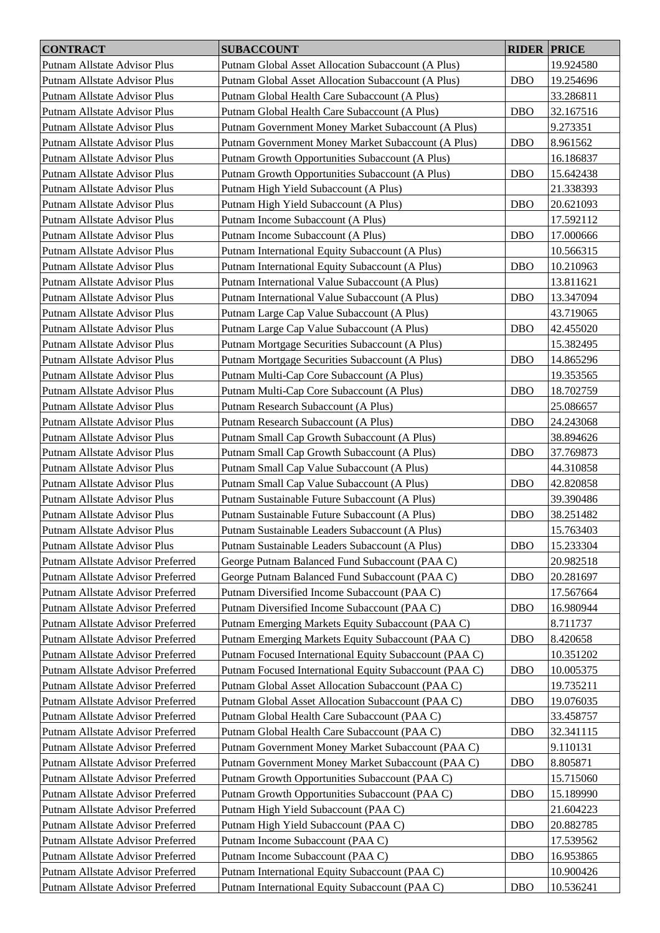| <b>CONTRACT</b>                   | <b>SUBACCOUNT</b>                                      | <b>RIDER PRICE</b> |           |
|-----------------------------------|--------------------------------------------------------|--------------------|-----------|
| Putnam Allstate Advisor Plus      | Putnam Global Asset Allocation Subaccount (A Plus)     |                    | 19.924580 |
| Putnam Allstate Advisor Plus      | Putnam Global Asset Allocation Subaccount (A Plus)     | <b>DBO</b>         | 19.254696 |
| Putnam Allstate Advisor Plus      | Putnam Global Health Care Subaccount (A Plus)          |                    | 33.286811 |
| Putnam Allstate Advisor Plus      | Putnam Global Health Care Subaccount (A Plus)          | <b>DBO</b>         | 32.167516 |
| Putnam Allstate Advisor Plus      | Putnam Government Money Market Subaccount (A Plus)     |                    | 9.273351  |
| Putnam Allstate Advisor Plus      | Putnam Government Money Market Subaccount (A Plus)     | <b>DBO</b>         | 8.961562  |
| Putnam Allstate Advisor Plus      | Putnam Growth Opportunities Subaccount (A Plus)        |                    | 16.186837 |
| Putnam Allstate Advisor Plus      | Putnam Growth Opportunities Subaccount (A Plus)        | <b>DBO</b>         | 15.642438 |
| Putnam Allstate Advisor Plus      | Putnam High Yield Subaccount (A Plus)                  |                    | 21.338393 |
| Putnam Allstate Advisor Plus      | Putnam High Yield Subaccount (A Plus)                  | <b>DBO</b>         | 20.621093 |
| Putnam Allstate Advisor Plus      | Putnam Income Subaccount (A Plus)                      |                    | 17.592112 |
|                                   | Putnam Income Subaccount (A Plus)                      | <b>DBO</b>         |           |
| Putnam Allstate Advisor Plus      |                                                        |                    | 17.000666 |
| Putnam Allstate Advisor Plus      | Putnam International Equity Subaccount (A Plus)        |                    | 10.566315 |
| Putnam Allstate Advisor Plus      | Putnam International Equity Subaccount (A Plus)        | <b>DBO</b>         | 10.210963 |
| Putnam Allstate Advisor Plus      | Putnam International Value Subaccount (A Plus)         |                    | 13.811621 |
| Putnam Allstate Advisor Plus      | Putnam International Value Subaccount (A Plus)         | <b>DBO</b>         | 13.347094 |
| Putnam Allstate Advisor Plus      | Putnam Large Cap Value Subaccount (A Plus)             |                    | 43.719065 |
| Putnam Allstate Advisor Plus      | Putnam Large Cap Value Subaccount (A Plus)             | <b>DBO</b>         | 42.455020 |
| Putnam Allstate Advisor Plus      | Putnam Mortgage Securities Subaccount (A Plus)         |                    | 15.382495 |
| Putnam Allstate Advisor Plus      | Putnam Mortgage Securities Subaccount (A Plus)         | <b>DBO</b>         | 14.865296 |
| Putnam Allstate Advisor Plus      | Putnam Multi-Cap Core Subaccount (A Plus)              |                    | 19.353565 |
| Putnam Allstate Advisor Plus      | Putnam Multi-Cap Core Subaccount (A Plus)              | <b>DBO</b>         | 18.702759 |
| Putnam Allstate Advisor Plus      | Putnam Research Subaccount (A Plus)                    |                    | 25.086657 |
| Putnam Allstate Advisor Plus      | Putnam Research Subaccount (A Plus)                    | <b>DBO</b>         | 24.243068 |
| Putnam Allstate Advisor Plus      | Putnam Small Cap Growth Subaccount (A Plus)            |                    | 38.894626 |
| Putnam Allstate Advisor Plus      | Putnam Small Cap Growth Subaccount (A Plus)            | <b>DBO</b>         | 37.769873 |
| Putnam Allstate Advisor Plus      | Putnam Small Cap Value Subaccount (A Plus)             |                    | 44.310858 |
| Putnam Allstate Advisor Plus      | Putnam Small Cap Value Subaccount (A Plus)             | <b>DBO</b>         | 42.820858 |
| Putnam Allstate Advisor Plus      | Putnam Sustainable Future Subaccount (A Plus)          |                    | 39.390486 |
| Putnam Allstate Advisor Plus      | Putnam Sustainable Future Subaccount (A Plus)          | <b>DBO</b>         | 38.251482 |
| Putnam Allstate Advisor Plus      | Putnam Sustainable Leaders Subaccount (A Plus)         |                    | 15.763403 |
| Putnam Allstate Advisor Plus      | Putnam Sustainable Leaders Subaccount (A Plus)         | <b>DBO</b>         | 15.233304 |
| Putnam Allstate Advisor Preferred | George Putnam Balanced Fund Subaccount (PAA C)         |                    | 20.982518 |
| Putnam Allstate Advisor Preferred | George Putnam Balanced Fund Subaccount (PAA C)         | <b>DBO</b>         | 20.281697 |
| Putnam Allstate Advisor Preferred | Putnam Diversified Income Subaccount (PAA C)           |                    | 17.567664 |
| Putnam Allstate Advisor Preferred | Putnam Diversified Income Subaccount (PAA C)           | <b>DBO</b>         | 16.980944 |
| Putnam Allstate Advisor Preferred | Putnam Emerging Markets Equity Subaccount (PAA C)      |                    | 8.711737  |
| Putnam Allstate Advisor Preferred | Putnam Emerging Markets Equity Subaccount (PAA C)      | <b>DBO</b>         | 8.420658  |
| Putnam Allstate Advisor Preferred | Putnam Focused International Equity Subaccount (PAA C) |                    | 10.351202 |
| Putnam Allstate Advisor Preferred | Putnam Focused International Equity Subaccount (PAA C) | <b>DBO</b>         | 10.005375 |
| Putnam Allstate Advisor Preferred | Putnam Global Asset Allocation Subaccount (PAA C)      |                    | 19.735211 |
| Putnam Allstate Advisor Preferred | Putnam Global Asset Allocation Subaccount (PAA C)      | <b>DBO</b>         | 19.076035 |
| Putnam Allstate Advisor Preferred | Putnam Global Health Care Subaccount (PAA C)           |                    | 33.458757 |
| Putnam Allstate Advisor Preferred | Putnam Global Health Care Subaccount (PAA C)           | <b>DBO</b>         | 32.341115 |
| Putnam Allstate Advisor Preferred | Putnam Government Money Market Subaccount (PAA C)      |                    | 9.110131  |
| Putnam Allstate Advisor Preferred | Putnam Government Money Market Subaccount (PAA C)      | <b>DBO</b>         | 8.805871  |
| Putnam Allstate Advisor Preferred | Putnam Growth Opportunities Subaccount (PAA C)         |                    | 15.715060 |
| Putnam Allstate Advisor Preferred | Putnam Growth Opportunities Subaccount (PAA C)         | <b>DBO</b>         | 15.189990 |
| Putnam Allstate Advisor Preferred | Putnam High Yield Subaccount (PAA C)                   |                    | 21.604223 |
| Putnam Allstate Advisor Preferred | Putnam High Yield Subaccount (PAA C)                   | <b>DBO</b>         | 20.882785 |
| Putnam Allstate Advisor Preferred | Putnam Income Subaccount (PAA C)                       |                    | 17.539562 |
| Putnam Allstate Advisor Preferred | Putnam Income Subaccount (PAA C)                       | <b>DBO</b>         | 16.953865 |
| Putnam Allstate Advisor Preferred | Putnam International Equity Subaccount (PAA C)         |                    | 10.900426 |
| Putnam Allstate Advisor Preferred | Putnam International Equity Subaccount (PAA C)         | <b>DBO</b>         | 10.536241 |